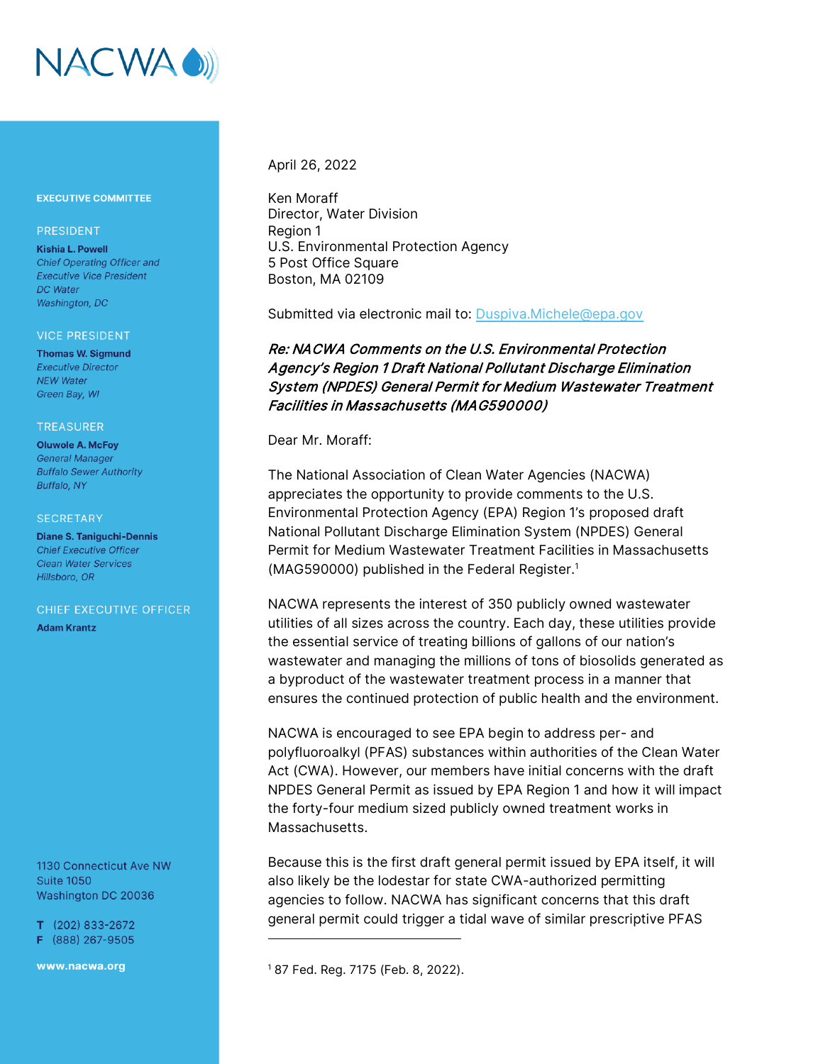

### **EXECUTIVE COMMITTEE**

### PRESIDENT

**Kishia L. Powell Chief Operating Officer and Executive Vice President** DC Water Washington, DC

#### **VICE PRESIDENT**

**Thomas W. Sigmund Executive Director NEW Water** Green Bay, WI

### **TREASURER**

**Oluwole A. McFoy General Manager Buffalo Sewer Authority Buffalo, NY** 

#### **SECRETARY**

**Diane S. Taniquchi-Dennis Chief Executive Officer Clean Water Services** Hillsboro, OR

### CHIEF EXECUTIVE OFFICER

**Adam Krantz** 

1130 Connecticut Ave NW **Suite 1050** Washington DC 20036

 $T$  (202) 833-2672 F (888) 267-9505

www.nacwa.org

### April 26, 2022

Ken Moraff Director, Water Division Region 1 U.S. Environmental Protection Agency 5 Post Office Square Boston, MA 02109

Submitted via electronic mail to: [Duspiva.Michele@epa.gov](mailto:Duspiva.Michele@epa.gov)

## Re: NACWA Comments on the U.S. Environmental Protection Agency's Region 1 Draft National Pollutant Discharge Elimination System (NPDES) General Permit for Medium Wastewater Treatment Facilities in Massachusetts (MAG590000)

Dear Mr. Moraff:

The National Association of Clean Water Agencies (NACWA) appreciates the opportunity to provide comments to the U.S. Environmental Protection Agency (EPA) Region 1's proposed draft National Pollutant Discharge Elimination System (NPDES) General Permit for Medium Wastewater Treatment Facilities in Massachusetts (MAG590000) published in the Federal Register.<sup>1</sup>

NACWA represents the interest of 350 publicly owned wastewater utilities of all sizes across the country. Each day, these utilities provide the essential service of treating billions of gallons of our nation's wastewater and managing the millions of tons of biosolids generated as a byproduct of the wastewater treatment process in a manner that ensures the continued protection of public health and the environment.

NACWA is encouraged to see EPA begin to address per- and polyfluoroalkyl (PFAS) substances within authorities of the Clean Water Act (CWA). However, our members have initial concerns with the draft NPDES General Permit as issued by EPA Region 1 and how it will impact the forty-four medium sized publicly owned treatment works in Massachusetts.

Because this is the first draft general permit issued by EPA itself, it will also likely be the lodestar for state CWA-authorized permitting agencies to follow. NACWA has significant concerns that this draft general permit could trigger a tidal wave of similar prescriptive PFAS

<sup>1</sup> 87 Fed. Reg. 7175 (Feb. 8, 2022).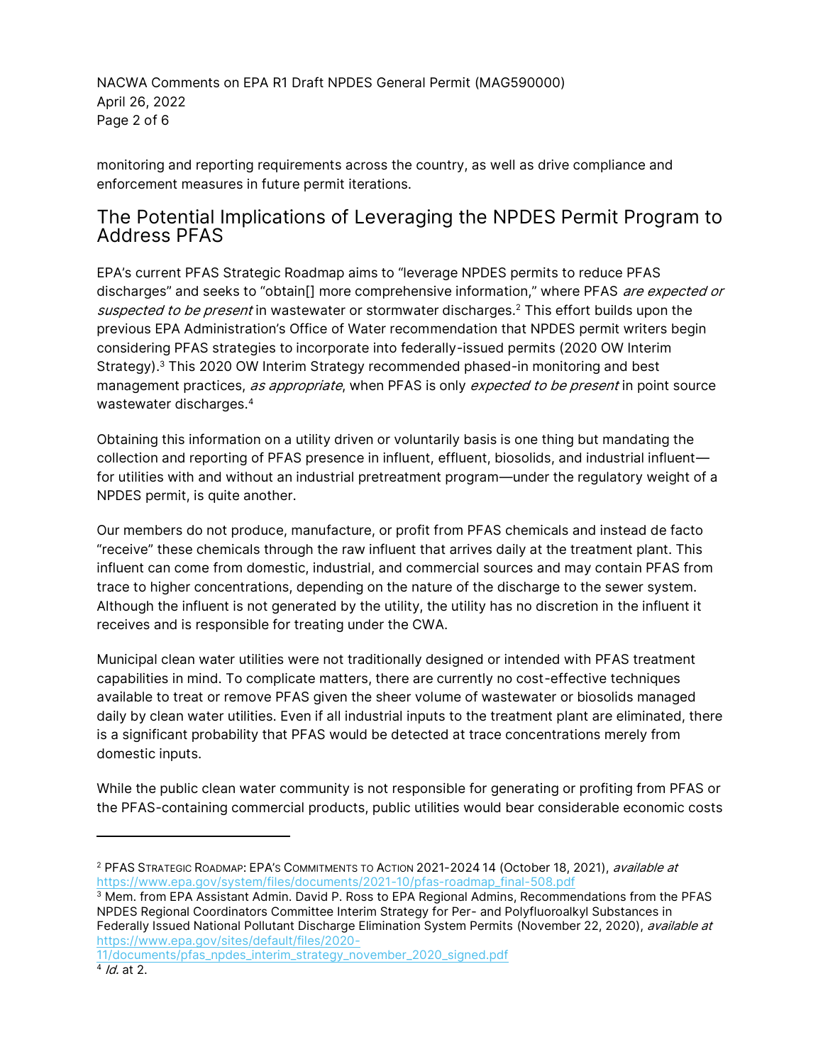NACWA Comments on EPA R1 Draft NPDES General Permit (MAG590000) April 26, 2022 Page 2 of 6

monitoring and reporting requirements across the country, as well as drive compliance and enforcement measures in future permit iterations.

# The Potential Implications of Leveraging the NPDES Permit Program to Address PFAS

EPA's current PFAS Strategic Roadmap aims to "leverage NPDES permits to reduce PFAS discharges" and seeks to "obtain[] more comprehensive information," where PFAS are expected or suspected to be present in wastewater or stormwater discharges.<sup>2</sup> This effort builds upon the previous EPA Administration's Office of Water recommendation that NPDES permit writers begin considering PFAS strategies to incorporate into federally-issued permits (2020 OW Interim Strategy).<sup>3</sup> This 2020 OW Interim Strategy recommended phased-in monitoring and best management practices, as appropriate, when PFAS is only expected to be present in point source wastewater discharges.<sup>4</sup>

Obtaining this information on a utility driven or voluntarily basis is one thing but mandating the collection and reporting of PFAS presence in influent, effluent, biosolids, and industrial influent for utilities with and without an industrial pretreatment program—under the regulatory weight of a NPDES permit, is quite another.

Our members do not produce, manufacture, or profit from PFAS chemicals and instead de facto "receive" these chemicals through the raw influent that arrives daily at the treatment plant. This influent can come from domestic, industrial, and commercial sources and may contain PFAS from trace to higher concentrations, depending on the nature of the discharge to the sewer system. Although the influent is not generated by the utility, the utility has no discretion in the influent it receives and is responsible for treating under the CWA.

Municipal clean water utilities were not traditionally designed or intended with PFAS treatment capabilities in mind. To complicate matters, there are currently no cost-effective techniques available to treat or remove PFAS given the sheer volume of wastewater or biosolids managed daily by clean water utilities. Even if all industrial inputs to the treatment plant are eliminated, there is a significant probability that PFAS would be detected at trace concentrations merely from domestic inputs.

While the public clean water community is not responsible for generating or profiting from PFAS or the PFAS-containing commercial products, public utilities would bear considerable economic costs

<sup>&</sup>lt;sup>2</sup> PFAS STRATEGIC ROADMAP: EPA'S COMMITMENTS TO ACTION 2021-2024 14 (October 18, 2021), *available at* [https://www.epa.gov/system/files/documents/2021-10/pfas-roadmap\\_final-508.pdf](https://www.epa.gov/system/files/documents/2021-10/pfas-roadmap_final-508.pdf)

<sup>3</sup> Mem. from EPA Assistant Admin. David P. Ross to EPA Regional Admins, Recommendations from the PFAS NPDES Regional Coordinators Committee Interim Strategy for Per- and Polyfluoroalkyl Substances in Federally Issued National Pollutant Discharge Elimination System Permits (November 22, 2020), *available at* [https://www.epa.gov/sites/default/files/2020-](https://www.epa.gov/sites/default/files/2020-11/documents/pfas_npdes_interim_strategy_november_2020_signed.pdf)

[<sup>11/</sup>documents/pfas\\_npdes\\_interim\\_strategy\\_november\\_2020\\_signed.pdf](https://www.epa.gov/sites/default/files/2020-11/documents/pfas_npdes_interim_strategy_november_2020_signed.pdf)

<sup>&</sup>lt;sup>4</sup> *Id.* at 2.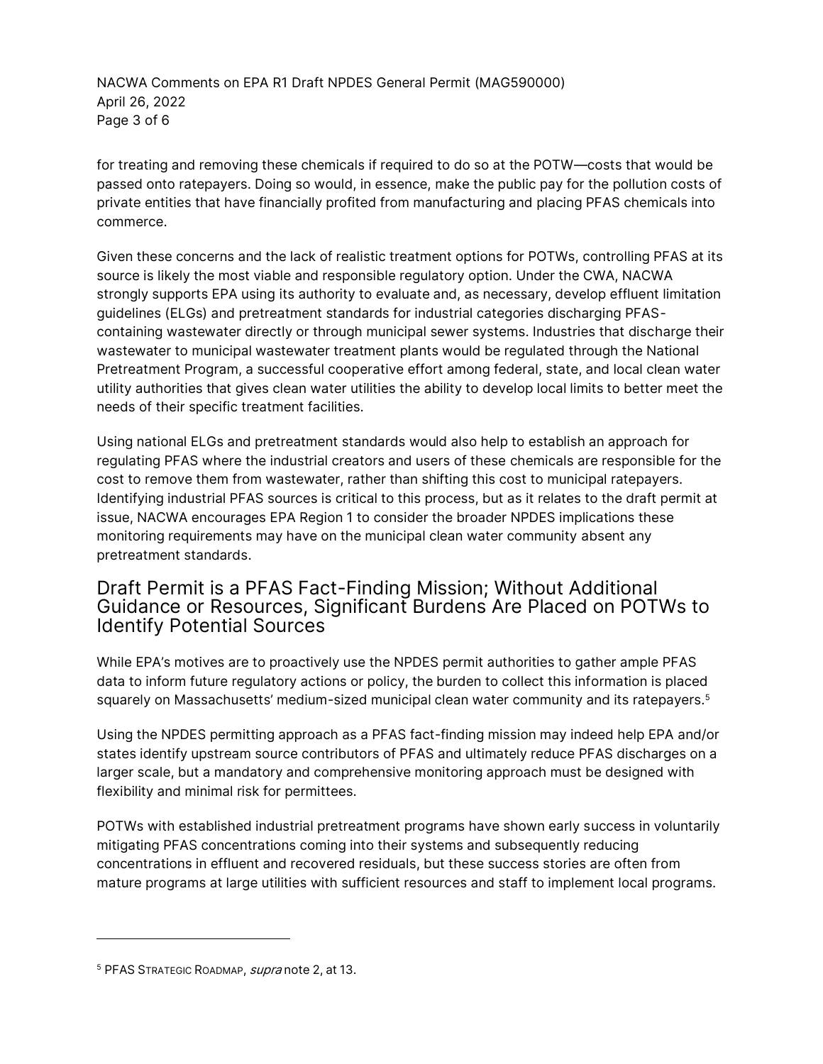NACWA Comments on EPA R1 Draft NPDES General Permit (MAG590000) April 26, 2022 Page 3 of 6

for treating and removing these chemicals if required to do so at the POTW—costs that would be passed onto ratepayers. Doing so would, in essence, make the public pay for the pollution costs of private entities that have financially profited from manufacturing and placing PFAS chemicals into commerce.

Given these concerns and the lack of realistic treatment options for POTWs, controlling PFAS at its source is likely the most viable and responsible regulatory option. Under the CWA, NACWA strongly supports EPA using its authority to evaluate and, as necessary, develop effluent limitation guidelines (ELGs) and pretreatment standards for industrial categories discharging PFAScontaining wastewater directly or through municipal sewer systems. Industries that discharge their wastewater to municipal wastewater treatment plants would be regulated through the National Pretreatment Program, a successful cooperative effort among federal, state, and local clean water utility authorities that gives clean water utilities the ability to develop local limits to better meet the needs of their specific treatment facilities.

Using national ELGs and pretreatment standards would also help to establish an approach for regulating PFAS where the industrial creators and users of these chemicals are responsible for the cost to remove them from wastewater, rather than shifting this cost to municipal ratepayers. Identifying industrial PFAS sources is critical to this process, but as it relates to the draft permit at issue, NACWA encourages EPA Region 1 to consider the broader NPDES implications these monitoring requirements may have on the municipal clean water community absent any pretreatment standards.

# Draft Permit is a PFAS Fact-Finding Mission; Without Additional Guidance or Resources, Significant Burdens Are Placed on POTWs to Identify Potential Sources

While EPA's motives are to proactively use the NPDES permit authorities to gather ample PFAS data to inform future regulatory actions or policy, the burden to collect this information is placed squarely on Massachusetts' medium-sized municipal clean water community and its ratepayers.<sup>5</sup>

Using the NPDES permitting approach as a PFAS fact-finding mission may indeed help EPA and/or states identify upstream source contributors of PFAS and ultimately reduce PFAS discharges on a larger scale, but a mandatory and comprehensive monitoring approach must be designed with flexibility and minimal risk for permittees.

POTWs with established industrial pretreatment programs have shown early success in voluntarily mitigating PFAS concentrations coming into their systems and subsequently reducing concentrations in effluent and recovered residuals, but these success stories are often from mature programs at large utilities with sufficient resources and staff to implement local programs.

<sup>&</sup>lt;sup>5</sup> PFAS STRATEGIC ROADMAP, *supra* note 2, at 13.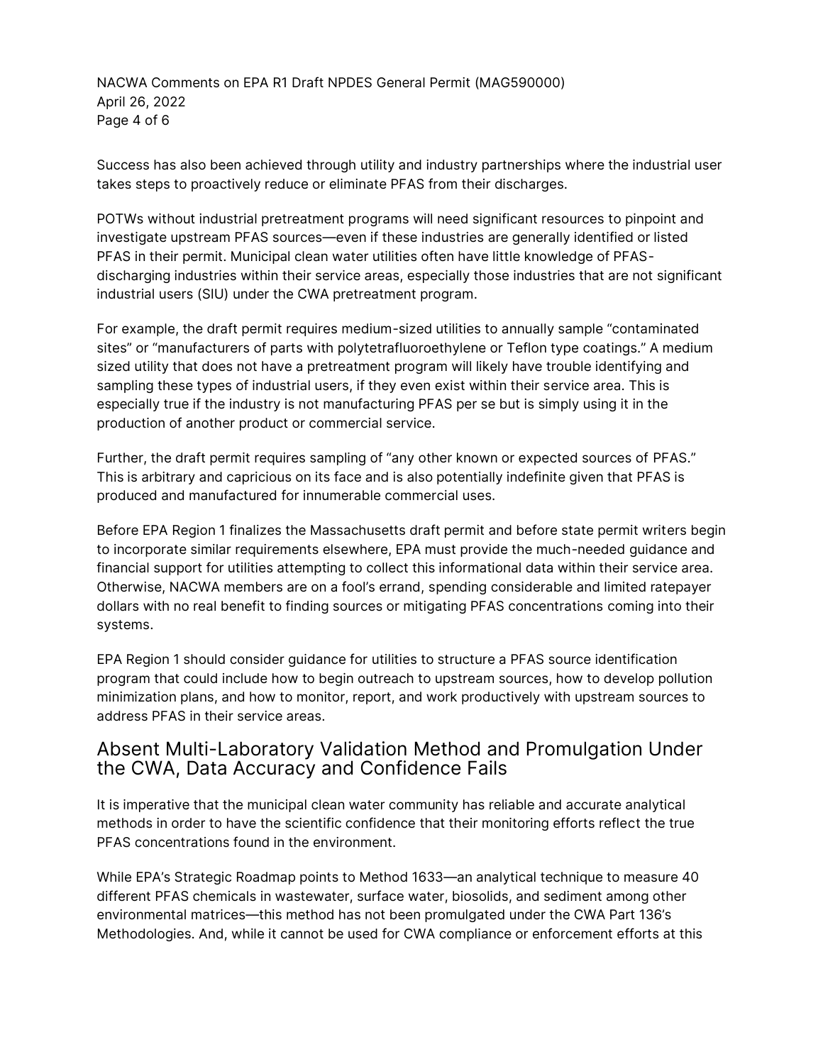NACWA Comments on EPA R1 Draft NPDES General Permit (MAG590000) April 26, 2022 Page 4 of 6

Success has also been achieved through utility and industry partnerships where the industrial user takes steps to proactively reduce or eliminate PFAS from their discharges.

POTWs without industrial pretreatment programs will need significant resources to pinpoint and investigate upstream PFAS sources—even if these industries are generally identified or listed PFAS in their permit. Municipal clean water utilities often have little knowledge of PFASdischarging industries within their service areas, especially those industries that are not significant industrial users (SIU) under the CWA pretreatment program.

For example, the draft permit requires medium-sized utilities to annually sample "contaminated sites" or "manufacturers of parts with polytetrafluoroethylene or Teflon type coatings." A medium sized utility that does not have a pretreatment program will likely have trouble identifying and sampling these types of industrial users, if they even exist within their service area. This is especially true if the industry is not manufacturing PFAS per se but is simply using it in the production of another product or commercial service.

Further, the draft permit requires sampling of "any other known or expected sources of PFAS." This is arbitrary and capricious on its face and is also potentially indefinite given that PFAS is produced and manufactured for innumerable commercial uses.

Before EPA Region 1 finalizes the Massachusetts draft permit and before state permit writers begin to incorporate similar requirements elsewhere, EPA must provide the much-needed guidance and financial support for utilities attempting to collect this informational data within their service area. Otherwise, NACWA members are on a fool's errand, spending considerable and limited ratepayer dollars with no real benefit to finding sources or mitigating PFAS concentrations coming into their systems.

EPA Region 1 should consider guidance for utilities to structure a PFAS source identification program that could include how to begin outreach to upstream sources, how to develop pollution minimization plans, and how to monitor, report, and work productively with upstream sources to address PFAS in their service areas.

## Absent Multi-Laboratory Validation Method and Promulgation Under the CWA, Data Accuracy and Confidence Fails

It is imperative that the municipal clean water community has reliable and accurate analytical methods in order to have the scientific confidence that their monitoring efforts reflect the true PFAS concentrations found in the environment.

While EPA's Strategic Roadmap points to Method 1633—an analytical technique to measure 40 different PFAS chemicals in wastewater, surface water, biosolids, and sediment among other environmental matrices—this method has not been promulgated under the CWA Part 136's Methodologies. And, while it cannot be used for CWA compliance or enforcement efforts at this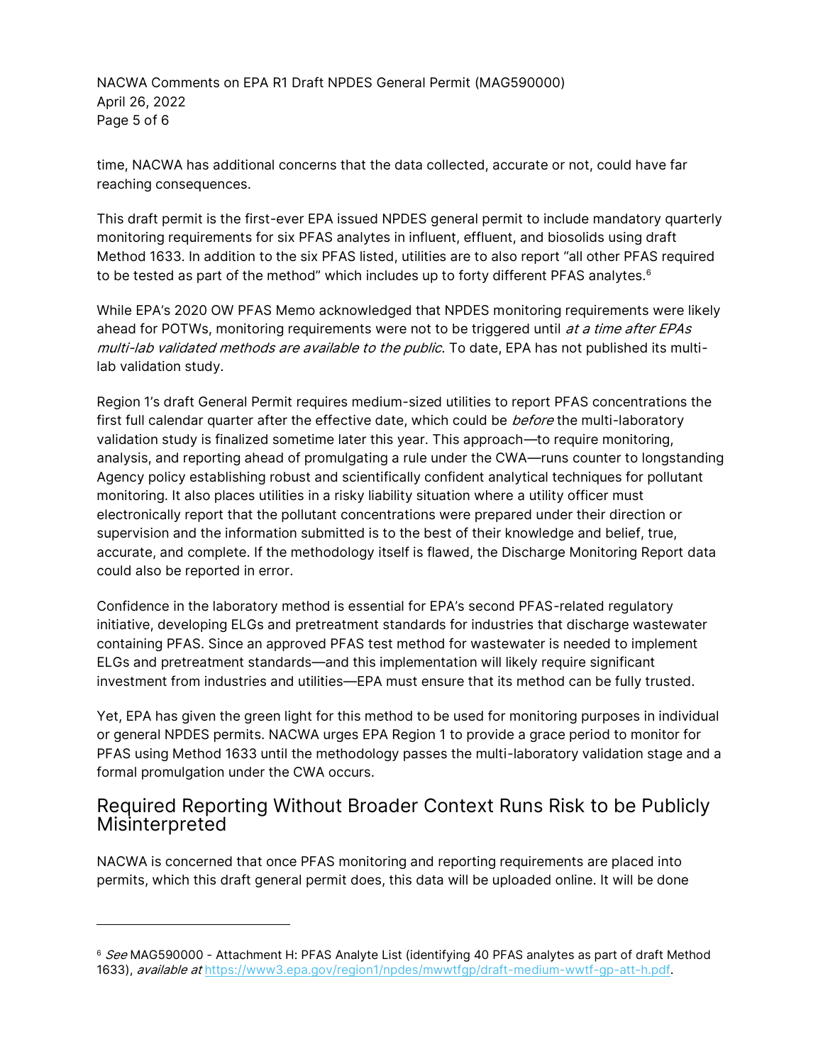NACWA Comments on EPA R1 Draft NPDES General Permit (MAG590000) April 26, 2022 Page 5 of 6

time, NACWA has additional concerns that the data collected, accurate or not, could have far reaching consequences.

This draft permit is the first-ever EPA issued NPDES general permit to include mandatory quarterly monitoring requirements for six PFAS analytes in influent, effluent, and biosolids using draft Method 1633. In addition to the six PFAS listed, utilities are to also report "all other PFAS required to be tested as part of the method" which includes up to forty different PFAS analytes. $6$ 

While EPA's 2020 OW PFAS Memo acknowledged that NPDES monitoring requirements were likely ahead for POTWs, monitoring requirements were not to be triggered until *at a time after EPAs* multi-lab validated methods are available to the public. To date, EPA has not published its multilab validation study.

Region 1's draft General Permit requires medium-sized utilities to report PFAS concentrations the first full calendar quarter after the effective date, which could be before the multi-laboratory validation study is finalized sometime later this year. This approach—to require monitoring, analysis, and reporting ahead of promulgating a rule under the CWA—runs counter to longstanding Agency policy establishing robust and scientifically confident analytical techniques for pollutant monitoring. It also places utilities in a risky liability situation where a utility officer must electronically report that the pollutant concentrations were prepared under their direction or supervision and the information submitted is to the best of their knowledge and belief, true, accurate, and complete. If the methodology itself is flawed, the Discharge Monitoring Report data could also be reported in error.

Confidence in the laboratory method is essential for EPA's second PFAS-related regulatory initiative, developing ELGs and pretreatment standards for industries that discharge wastewater containing PFAS. Since an approved PFAS test method for wastewater is needed to implement ELGs and pretreatment standards—and this implementation will likely require significant investment from industries and utilities—EPA must ensure that its method can be fully trusted.

Yet, EPA has given the green light for this method to be used for monitoring purposes in individual or general NPDES permits. NACWA urges EPA Region 1 to provide a grace period to monitor for PFAS using Method 1633 until the methodology passes the multi-laboratory validation stage and a formal promulgation under the CWA occurs.

# Required Reporting Without Broader Context Runs Risk to be Publicly Misinterpreted

NACWA is concerned that once PFAS monitoring and reporting requirements are placed into permits, which this draft general permit does, this data will be uploaded online. It will be done

<sup>&</sup>lt;sup>6</sup> See MAG590000 - Attachment H: PFAS Analyte List (identifying 40 PFAS analytes as part of draft Method 1633), available at https://www3.epa.gov/region1/npdes/mwwtfqp/draft-medium-wwtf-qp-att-h.pdf.